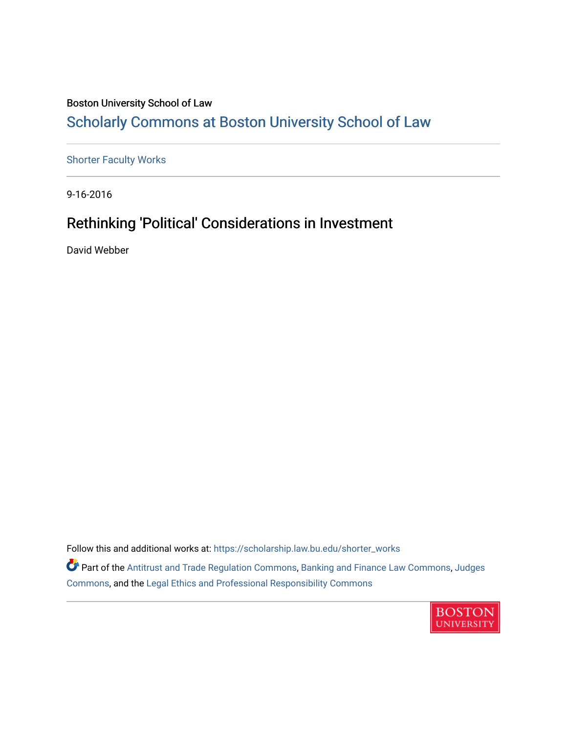# Boston University School of Law [Scholarly Commons at Boston University School of Law](https://scholarship.law.bu.edu/)

[Shorter Faculty Works](https://scholarship.law.bu.edu/shorter_works)

9-16-2016

# Rethinking 'Political' Considerations in Investment

David Webber

Follow this and additional works at: [https://scholarship.law.bu.edu/shorter\\_works](https://scholarship.law.bu.edu/shorter_works?utm_source=scholarship.law.bu.edu%2Fshorter_works%2F137&utm_medium=PDF&utm_campaign=PDFCoverPages)

Part of the [Antitrust and Trade Regulation Commons,](http://network.bepress.com/hgg/discipline/911?utm_source=scholarship.law.bu.edu%2Fshorter_works%2F137&utm_medium=PDF&utm_campaign=PDFCoverPages) [Banking and Finance Law Commons,](http://network.bepress.com/hgg/discipline/833?utm_source=scholarship.law.bu.edu%2Fshorter_works%2F137&utm_medium=PDF&utm_campaign=PDFCoverPages) [Judges](http://network.bepress.com/hgg/discipline/849?utm_source=scholarship.law.bu.edu%2Fshorter_works%2F137&utm_medium=PDF&utm_campaign=PDFCoverPages)  [Commons](http://network.bepress.com/hgg/discipline/849?utm_source=scholarship.law.bu.edu%2Fshorter_works%2F137&utm_medium=PDF&utm_campaign=PDFCoverPages), and the [Legal Ethics and Professional Responsibility Commons](http://network.bepress.com/hgg/discipline/895?utm_source=scholarship.law.bu.edu%2Fshorter_works%2F137&utm_medium=PDF&utm_campaign=PDFCoverPages)

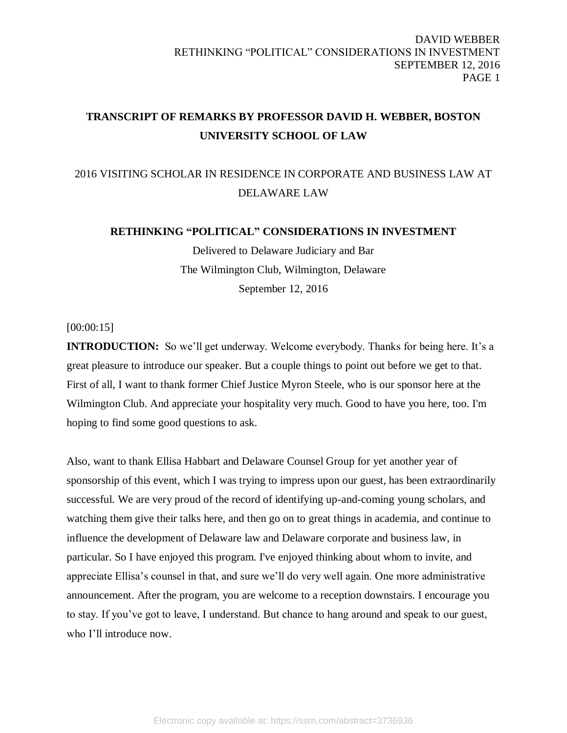# **TRANSCRIPT OF REMARKS BY PROFESSOR DAVID H. WEBBER, BOSTON UNIVERSITY SCHOOL OF LAW**

# 2016 VISITING SCHOLAR IN RESIDENCE IN CORPORATE AND BUSINESS LAW AT DELAWARE LAW

# **RETHINKING "POLITICAL" CONSIDERATIONS IN INVESTMENT**

Delivered to Delaware Judiciary and Bar The Wilmington Club, Wilmington, Delaware September 12, 2016

[00:00:15]

**INTRODUCTION:** So we'll get underway. Welcome everybody. Thanks for being here. It's a great pleasure to introduce our speaker. But a couple things to point out before we get to that. First of all, I want to thank former Chief Justice Myron Steele, who is our sponsor here at the Wilmington Club. And appreciate your hospitality very much. Good to have you here, too. I'm hoping to find some good questions to ask.

Also, want to thank Ellisa Habbart and Delaware Counsel Group for yet another year of sponsorship of this event, which I was trying to impress upon our guest, has been extraordinarily successful. We are very proud of the record of identifying up-and-coming young scholars, and watching them give their talks here, and then go on to great things in academia, and continue to influence the development of Delaware law and Delaware corporate and business law, in particular. So I have enjoyed this program. I've enjoyed thinking about whom to invite, and appreciate Ellisa's counsel in that, and sure we'll do very well again. One more administrative announcement. After the program, you are welcome to a reception downstairs. I encourage you to stay. If you've got to leave, I understand. But chance to hang around and speak to our guest, who I'll introduce now.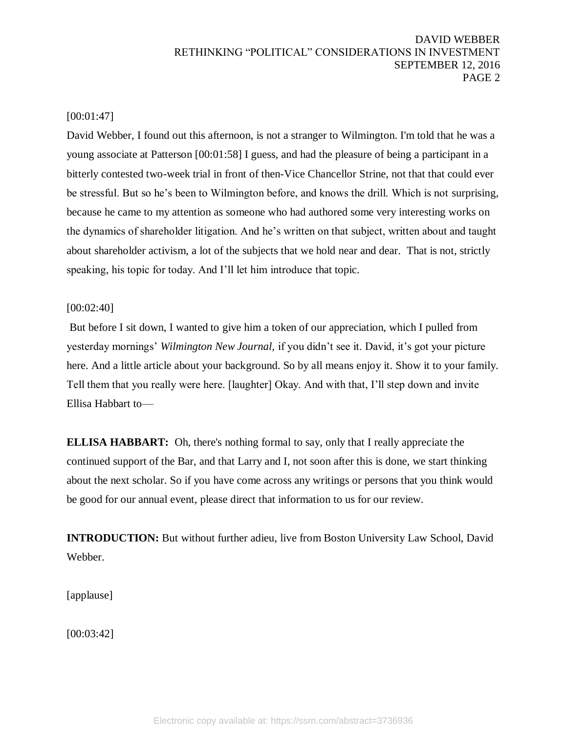# [00:01:47]

David Webber, I found out this afternoon, is not a stranger to Wilmington. I'm told that he was a young associate at Patterson [00:01:58] I guess, and had the pleasure of being a participant in a bitterly contested two-week trial in front of then-Vice Chancellor Strine, not that that could ever be stressful. But so he's been to Wilmington before, and knows the drill. Which is not surprising, because he came to my attention as someone who had authored some very interesting works on the dynamics of shareholder litigation. And he's written on that subject, written about and taught about shareholder activism, a lot of the subjects that we hold near and dear. That is not, strictly speaking, his topic for today. And I'll let him introduce that topic.

## [00:02:40]

But before I sit down, I wanted to give him a token of our appreciation, which I pulled from yesterday mornings' *Wilmington New Journal,* if you didn't see it. David, it's got your picture here. And a little article about your background. So by all means enjoy it. Show it to your family. Tell them that you really were here. [laughter] Okay. And with that, I'll step down and invite Ellisa Habbart to—

**ELLISA HABBART:** Oh, there's nothing formal to say, only that I really appreciate the continued support of the Bar, and that Larry and I, not soon after this is done, we start thinking about the next scholar. So if you have come across any writings or persons that you think would be good for our annual event, please direct that information to us for our review.

**INTRODUCTION:** But without further adieu, live from Boston University Law School, David Webber.

[applause]

[00:03:42]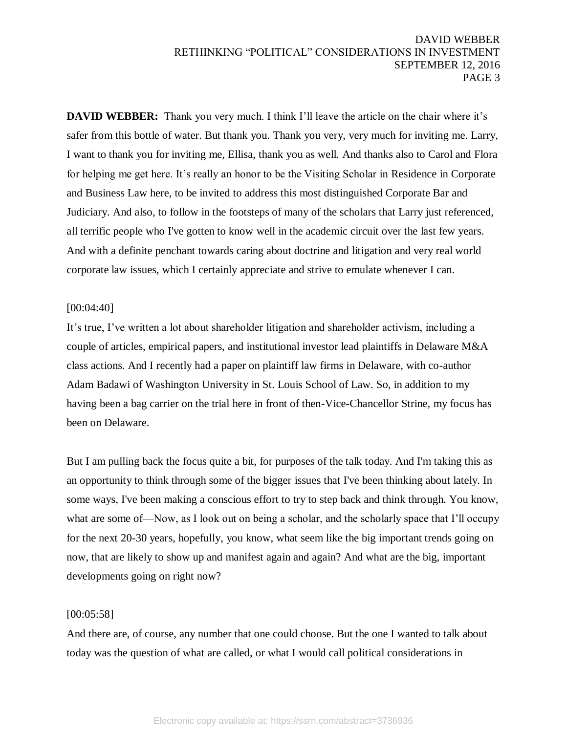**DAVID WEBBER:** Thank you very much. I think I'll leave the article on the chair where it's safer from this bottle of water. But thank you. Thank you very, very much for inviting me. Larry, I want to thank you for inviting me, Ellisa, thank you as well. And thanks also to Carol and Flora for helping me get here. It's really an honor to be the Visiting Scholar in Residence in Corporate and Business Law here, to be invited to address this most distinguished Corporate Bar and Judiciary. And also, to follow in the footsteps of many of the scholars that Larry just referenced, all terrific people who I've gotten to know well in the academic circuit over the last few years. And with a definite penchant towards caring about doctrine and litigation and very real world corporate law issues, which I certainly appreciate and strive to emulate whenever I can.

## [00:04:40]

It's true, I've written a lot about shareholder litigation and shareholder activism, including a couple of articles, empirical papers, and institutional investor lead plaintiffs in Delaware M&A class actions. And I recently had a paper on plaintiff law firms in Delaware, with co-author Adam Badawi of Washington University in St. Louis School of Law. So, in addition to my having been a bag carrier on the trial here in front of then-Vice-Chancellor Strine, my focus has been on Delaware.

But I am pulling back the focus quite a bit, for purposes of the talk today. And I'm taking this as an opportunity to think through some of the bigger issues that I've been thinking about lately. In some ways, I've been making a conscious effort to try to step back and think through. You know, what are some of—Now, as I look out on being a scholar, and the scholarly space that I'll occupy for the next 20-30 years, hopefully, you know, what seem like the big important trends going on now, that are likely to show up and manifest again and again? And what are the big, important developments going on right now?

#### [00:05:58]

And there are, of course, any number that one could choose. But the one I wanted to talk about today was the question of what are called, or what I would call political considerations in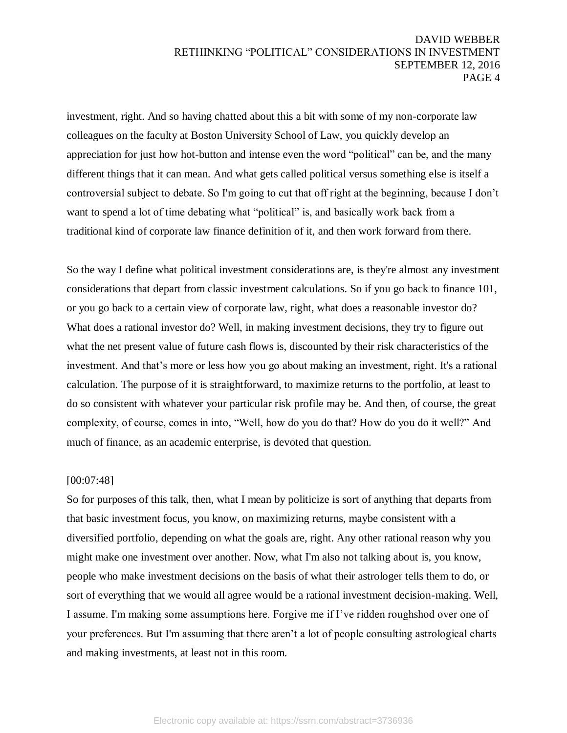investment, right. And so having chatted about this a bit with some of my non-corporate law colleagues on the faculty at Boston University School of Law, you quickly develop an appreciation for just how hot-button and intense even the word "political" can be, and the many different things that it can mean. And what gets called political versus something else is itself a controversial subject to debate. So I'm going to cut that off right at the beginning, because I don't want to spend a lot of time debating what "political" is, and basically work back from a traditional kind of corporate law finance definition of it, and then work forward from there.

So the way I define what political investment considerations are, is they're almost any investment considerations that depart from classic investment calculations. So if you go back to finance 101, or you go back to a certain view of corporate law, right, what does a reasonable investor do? What does a rational investor do? Well, in making investment decisions, they try to figure out what the net present value of future cash flows is, discounted by their risk characteristics of the investment. And that's more or less how you go about making an investment, right. It's a rational calculation. The purpose of it is straightforward, to maximize returns to the portfolio, at least to do so consistent with whatever your particular risk profile may be. And then, of course, the great complexity, of course, comes in into, "Well, how do you do that? How do you do it well?" And much of finance, as an academic enterprise, is devoted that question.

#### [00:07:48]

So for purposes of this talk, then, what I mean by politicize is sort of anything that departs from that basic investment focus, you know, on maximizing returns, maybe consistent with a diversified portfolio, depending on what the goals are, right. Any other rational reason why you might make one investment over another. Now, what I'm also not talking about is, you know, people who make investment decisions on the basis of what their astrologer tells them to do, or sort of everything that we would all agree would be a rational investment decision-making. Well, I assume. I'm making some assumptions here. Forgive me if I've ridden roughshod over one of your preferences. But I'm assuming that there aren't a lot of people consulting astrological charts and making investments, at least not in this room.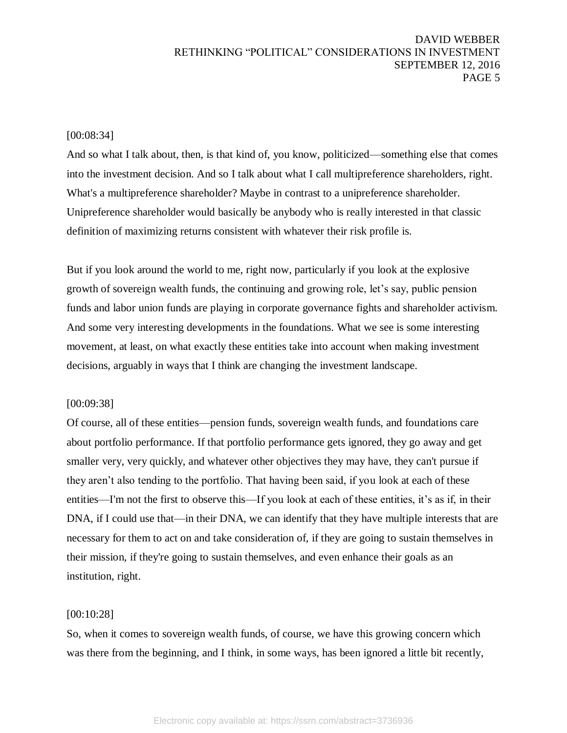## [00:08:34]

And so what I talk about, then, is that kind of, you know, politicized—something else that comes into the investment decision. And so I talk about what I call multipreference shareholders, right. What's a multipreference shareholder? Maybe in contrast to a unipreference shareholder. Unipreference shareholder would basically be anybody who is really interested in that classic definition of maximizing returns consistent with whatever their risk profile is.

But if you look around the world to me, right now, particularly if you look at the explosive growth of sovereign wealth funds, the continuing and growing role, let's say, public pension funds and labor union funds are playing in corporate governance fights and shareholder activism. And some very interesting developments in the foundations. What we see is some interesting movement, at least, on what exactly these entities take into account when making investment decisions, arguably in ways that I think are changing the investment landscape.

#### [00:09:38]

Of course, all of these entities—pension funds, sovereign wealth funds, and foundations care about portfolio performance. If that portfolio performance gets ignored, they go away and get smaller very, very quickly, and whatever other objectives they may have, they can't pursue if they aren't also tending to the portfolio. That having been said, if you look at each of these entities—I'm not the first to observe this—If you look at each of these entities, it's as if, in their DNA, if I could use that—in their DNA, we can identify that they have multiple interests that are necessary for them to act on and take consideration of, if they are going to sustain themselves in their mission, if they're going to sustain themselves, and even enhance their goals as an institution, right.

#### [00:10:28]

So, when it comes to sovereign wealth funds, of course, we have this growing concern which was there from the beginning, and I think, in some ways, has been ignored a little bit recently,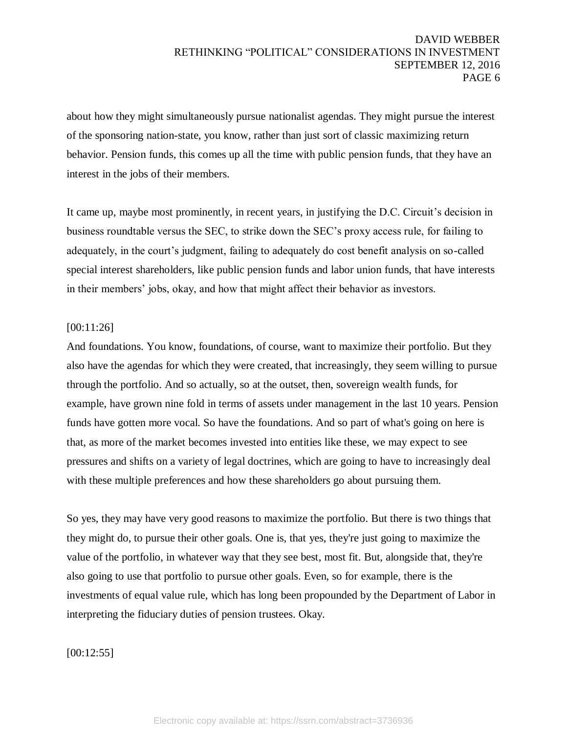about how they might simultaneously pursue nationalist agendas. They might pursue the interest of the sponsoring nation-state, you know, rather than just sort of classic maximizing return behavior. Pension funds, this comes up all the time with public pension funds, that they have an interest in the jobs of their members.

It came up, maybe most prominently, in recent years, in justifying the D.C. Circuit's decision in business roundtable versus the SEC, to strike down the SEC's proxy access rule, for failing to adequately, in the court's judgment, failing to adequately do cost benefit analysis on so-called special interest shareholders, like public pension funds and labor union funds, that have interests in their members' jobs, okay, and how that might affect their behavior as investors.

#### [00:11:26]

And foundations. You know, foundations, of course, want to maximize their portfolio. But they also have the agendas for which they were created, that increasingly, they seem willing to pursue through the portfolio. And so actually, so at the outset, then, sovereign wealth funds, for example, have grown nine fold in terms of assets under management in the last 10 years. Pension funds have gotten more vocal. So have the foundations. And so part of what's going on here is that, as more of the market becomes invested into entities like these, we may expect to see pressures and shifts on a variety of legal doctrines, which are going to have to increasingly deal with these multiple preferences and how these shareholders go about pursuing them.

So yes, they may have very good reasons to maximize the portfolio. But there is two things that they might do, to pursue their other goals. One is, that yes, they're just going to maximize the value of the portfolio, in whatever way that they see best, most fit. But, alongside that, they're also going to use that portfolio to pursue other goals. Even, so for example, there is the investments of equal value rule, which has long been propounded by the Department of Labor in interpreting the fiduciary duties of pension trustees. Okay.

[00:12:55]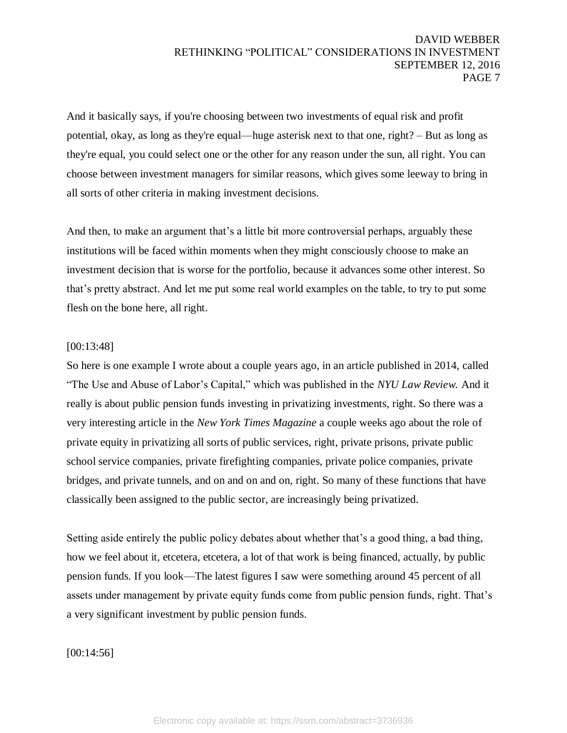And it basically says, if you're choosing between two investments of equal risk and profit potential, okay, as long as they're equal—huge asterisk next to that one, right? – But as long as they're equal, you could select one or the other for any reason under the sun, all right. You can choose between investment managers for similar reasons, which gives some leeway to bring in all sorts of other criteria in making investment decisions.

And then, to make an argument that's a little bit more controversial perhaps, arguably these institutions will be faced within moments when they might consciously choose to make an investment decision that is worse for the portfolio, because it advances some other interest. So that's pretty abstract. And let me put some real world examples on the table, to try to put some flesh on the bone here, all right.

# [00:13:48]

So here is one example I wrote about a couple years ago, in an article published in 2014, called "The Use and Abuse of Labor's Capital," which was published in the *NYU Law Review.* And it really is about public pension funds investing in privatizing investments, right. So there was a very interesting article in the *New York Times Magazine* a couple weeks ago about the role of private equity in privatizing all sorts of public services, right, private prisons, private public school service companies, private firefighting companies, private police companies, private bridges, and private tunnels, and on and on and on, right. So many of these functions that have classically been assigned to the public sector, are increasingly being privatized.

Setting aside entirely the public policy debates about whether that's a good thing, a bad thing, how we feel about it, etcetera, etcetera, a lot of that work is being financed, actually, by public pension funds. If you look—The latest figures I saw were something around 45 percent of all assets under management by private equity funds come from public pension funds, right. That's a very significant investment by public pension funds.

[00:14:56]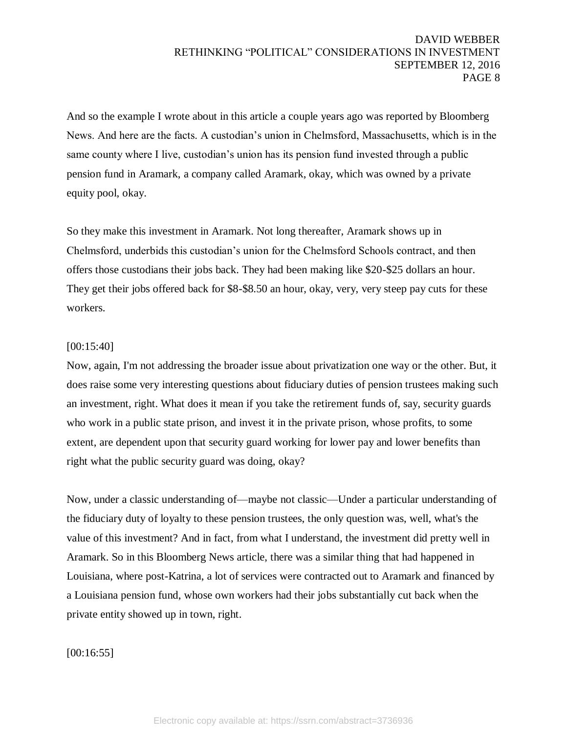And so the example I wrote about in this article a couple years ago was reported by Bloomberg News. And here are the facts. A custodian's union in Chelmsford, Massachusetts, which is in the same county where I live, custodian's union has its pension fund invested through a public pension fund in Aramark, a company called Aramark, okay, which was owned by a private equity pool, okay.

So they make this investment in Aramark. Not long thereafter, Aramark shows up in Chelmsford, underbids this custodian's union for the Chelmsford Schools contract, and then offers those custodians their jobs back. They had been making like \$20-\$25 dollars an hour. They get their jobs offered back for \$8-\$8.50 an hour, okay, very, very steep pay cuts for these workers.

## [00:15:40]

Now, again, I'm not addressing the broader issue about privatization one way or the other. But, it does raise some very interesting questions about fiduciary duties of pension trustees making such an investment, right. What does it mean if you take the retirement funds of, say, security guards who work in a public state prison, and invest it in the private prison, whose profits, to some extent, are dependent upon that security guard working for lower pay and lower benefits than right what the public security guard was doing, okay?

Now, under a classic understanding of—maybe not classic—Under a particular understanding of the fiduciary duty of loyalty to these pension trustees, the only question was, well, what's the value of this investment? And in fact, from what I understand, the investment did pretty well in Aramark. So in this Bloomberg News article, there was a similar thing that had happened in Louisiana, where post-Katrina, a lot of services were contracted out to Aramark and financed by a Louisiana pension fund, whose own workers had their jobs substantially cut back when the private entity showed up in town, right.

#### [00:16:55]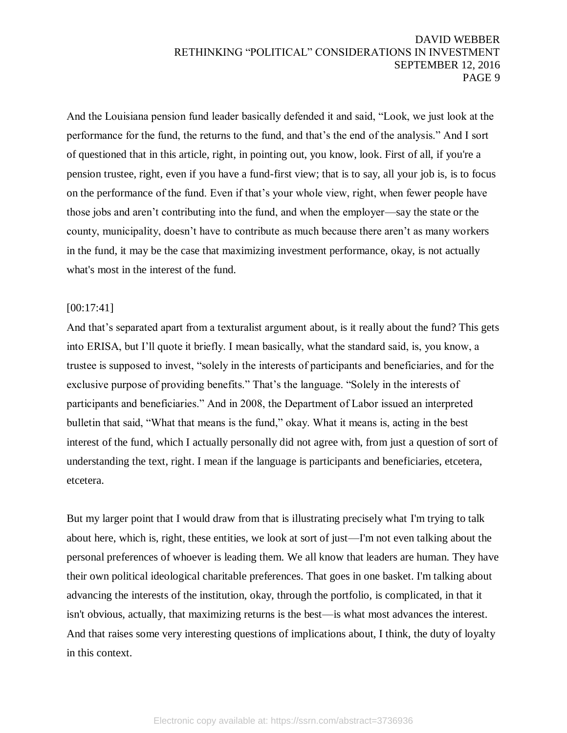And the Louisiana pension fund leader basically defended it and said, "Look, we just look at the performance for the fund, the returns to the fund, and that's the end of the analysis." And I sort of questioned that in this article, right, in pointing out, you know, look. First of all, if you're a pension trustee, right, even if you have a fund-first view; that is to say, all your job is, is to focus on the performance of the fund. Even if that's your whole view, right, when fewer people have those jobs and aren't contributing into the fund, and when the employer—say the state or the county, municipality, doesn't have to contribute as much because there aren't as many workers in the fund, it may be the case that maximizing investment performance, okay, is not actually what's most in the interest of the fund.

## [00:17:41]

And that's separated apart from a texturalist argument about, is it really about the fund? This gets into ERISA, but I'll quote it briefly. I mean basically, what the standard said, is, you know, a trustee is supposed to invest, "solely in the interests of participants and beneficiaries, and for the exclusive purpose of providing benefits." That's the language. "Solely in the interests of participants and beneficiaries." And in 2008, the Department of Labor issued an interpreted bulletin that said, "What that means is the fund," okay. What it means is, acting in the best interest of the fund, which I actually personally did not agree with, from just a question of sort of understanding the text, right. I mean if the language is participants and beneficiaries, etcetera, etcetera.

But my larger point that I would draw from that is illustrating precisely what I'm trying to talk about here, which is, right, these entities, we look at sort of just—I'm not even talking about the personal preferences of whoever is leading them. We all know that leaders are human. They have their own political ideological charitable preferences. That goes in one basket. I'm talking about advancing the interests of the institution, okay, through the portfolio, is complicated, in that it isn't obvious, actually, that maximizing returns is the best—is what most advances the interest. And that raises some very interesting questions of implications about, I think, the duty of loyalty in this context.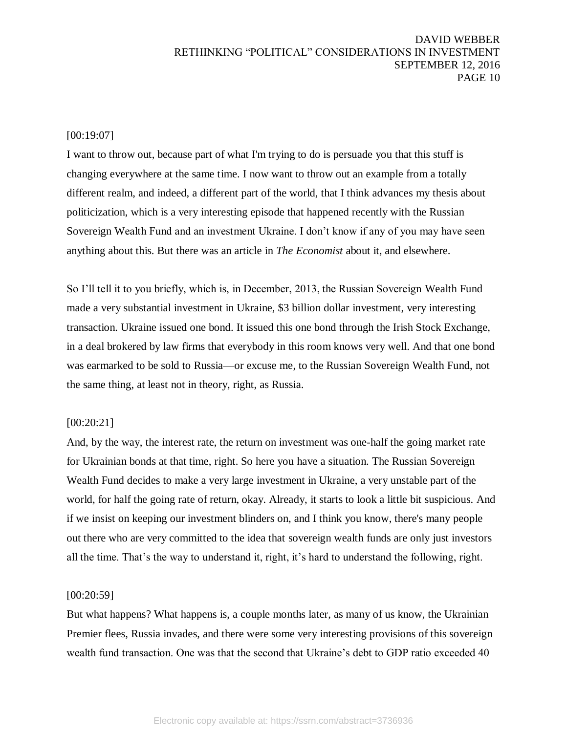#### [00:19:07]

I want to throw out, because part of what I'm trying to do is persuade you that this stuff is changing everywhere at the same time. I now want to throw out an example from a totally different realm, and indeed, a different part of the world, that I think advances my thesis about politicization, which is a very interesting episode that happened recently with the Russian Sovereign Wealth Fund and an investment Ukraine. I don't know if any of you may have seen anything about this. But there was an article in *The Economist* about it, and elsewhere.

So I'll tell it to you briefly, which is, in December, 2013, the Russian Sovereign Wealth Fund made a very substantial investment in Ukraine, \$3 billion dollar investment, very interesting transaction. Ukraine issued one bond. It issued this one bond through the Irish Stock Exchange, in a deal brokered by law firms that everybody in this room knows very well. And that one bond was earmarked to be sold to Russia—or excuse me, to the Russian Sovereign Wealth Fund, not the same thing, at least not in theory, right, as Russia.

#### [00:20:21]

And, by the way, the interest rate, the return on investment was one-half the going market rate for Ukrainian bonds at that time, right. So here you have a situation. The Russian Sovereign Wealth Fund decides to make a very large investment in Ukraine, a very unstable part of the world, for half the going rate of return, okay. Already, it starts to look a little bit suspicious. And if we insist on keeping our investment blinders on, and I think you know, there's many people out there who are very committed to the idea that sovereign wealth funds are only just investors all the time. That's the way to understand it, right, it's hard to understand the following, right.

#### [00:20:59]

But what happens? What happens is, a couple months later, as many of us know, the Ukrainian Premier flees, Russia invades, and there were some very interesting provisions of this sovereign wealth fund transaction. One was that the second that Ukraine's debt to GDP ratio exceeded 40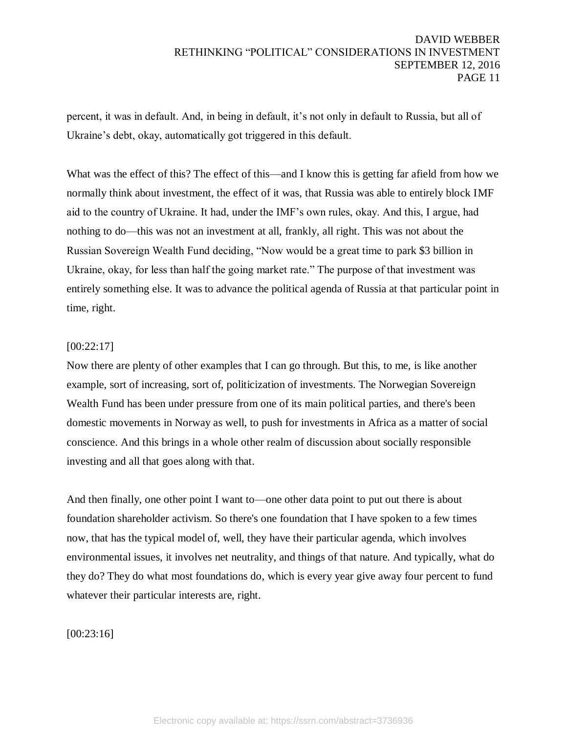percent, it was in default. And, in being in default, it's not only in default to Russia, but all of Ukraine's debt, okay, automatically got triggered in this default.

What was the effect of this? The effect of this—and I know this is getting far afield from how we normally think about investment, the effect of it was, that Russia was able to entirely block IMF aid to the country of Ukraine. It had, under the IMF's own rules, okay. And this, I argue, had nothing to do—this was not an investment at all, frankly, all right. This was not about the Russian Sovereign Wealth Fund deciding, "Now would be a great time to park \$3 billion in Ukraine, okay, for less than half the going market rate." The purpose of that investment was entirely something else. It was to advance the political agenda of Russia at that particular point in time, right.

# [00:22:17]

Now there are plenty of other examples that I can go through. But this, to me, is like another example, sort of increasing, sort of, politicization of investments. The Norwegian Sovereign Wealth Fund has been under pressure from one of its main political parties, and there's been domestic movements in Norway as well, to push for investments in Africa as a matter of social conscience. And this brings in a whole other realm of discussion about socially responsible investing and all that goes along with that.

And then finally, one other point I want to—one other data point to put out there is about foundation shareholder activism. So there's one foundation that I have spoken to a few times now, that has the typical model of, well, they have their particular agenda, which involves environmental issues, it involves net neutrality, and things of that nature. And typically, what do they do? They do what most foundations do, which is every year give away four percent to fund whatever their particular interests are, right.

# [00:23:16]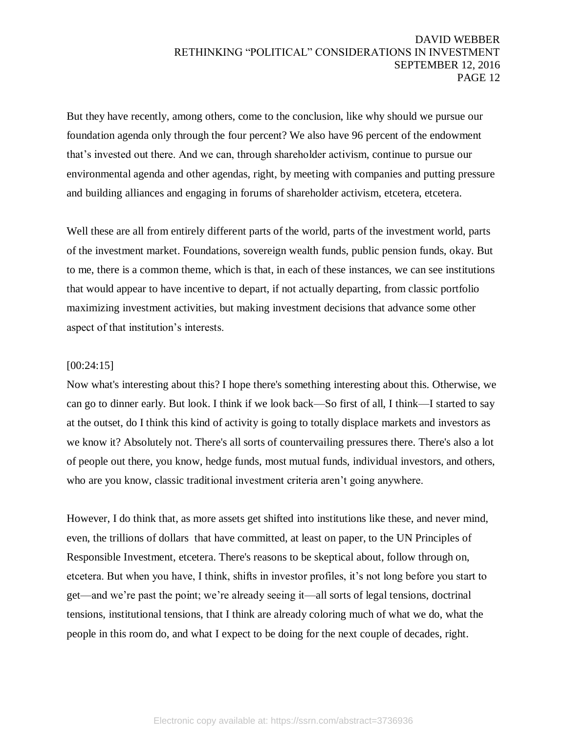But they have recently, among others, come to the conclusion, like why should we pursue our foundation agenda only through the four percent? We also have 96 percent of the endowment that's invested out there. And we can, through shareholder activism, continue to pursue our environmental agenda and other agendas, right, by meeting with companies and putting pressure and building alliances and engaging in forums of shareholder activism, etcetera, etcetera.

Well these are all from entirely different parts of the world, parts of the investment world, parts of the investment market. Foundations, sovereign wealth funds, public pension funds, okay. But to me, there is a common theme, which is that, in each of these instances, we can see institutions that would appear to have incentive to depart, if not actually departing, from classic portfolio maximizing investment activities, but making investment decisions that advance some other aspect of that institution's interests.

#### [00:24:15]

Now what's interesting about this? I hope there's something interesting about this. Otherwise, we can go to dinner early. But look. I think if we look back—So first of all, I think—I started to say at the outset, do I think this kind of activity is going to totally displace markets and investors as we know it? Absolutely not. There's all sorts of countervailing pressures there. There's also a lot of people out there, you know, hedge funds, most mutual funds, individual investors, and others, who are you know, classic traditional investment criteria aren't going anywhere.

However, I do think that, as more assets get shifted into institutions like these, and never mind, even, the trillions of dollars that have committed, at least on paper, to the UN Principles of Responsible Investment, etcetera. There's reasons to be skeptical about, follow through on, etcetera. But when you have, I think, shifts in investor profiles, it's not long before you start to get—and we're past the point; we're already seeing it—all sorts of legal tensions, doctrinal tensions, institutional tensions, that I think are already coloring much of what we do, what the people in this room do, and what I expect to be doing for the next couple of decades, right.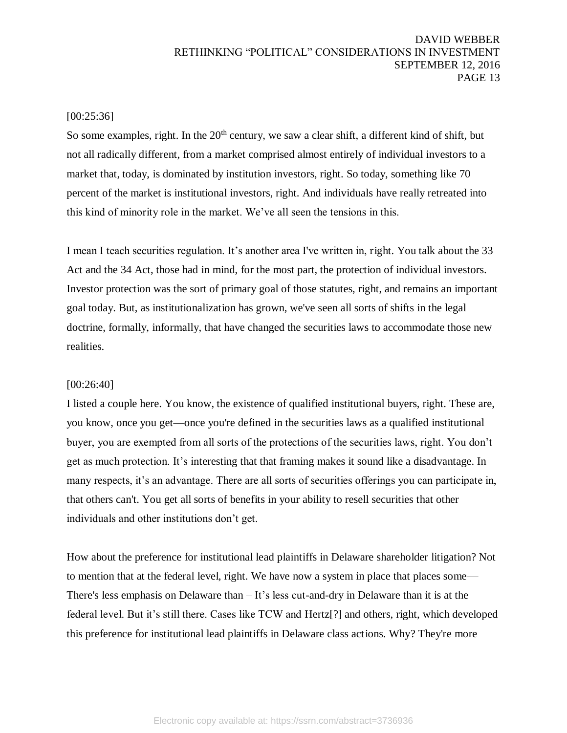## [00:25:36]

So some examples, right. In the  $20<sup>th</sup>$  century, we saw a clear shift, a different kind of shift, but not all radically different, from a market comprised almost entirely of individual investors to a market that, today, is dominated by institution investors, right. So today, something like 70 percent of the market is institutional investors, right. And individuals have really retreated into this kind of minority role in the market. We've all seen the tensions in this.

I mean I teach securities regulation. It's another area I've written in, right. You talk about the 33 Act and the 34 Act, those had in mind, for the most part, the protection of individual investors. Investor protection was the sort of primary goal of those statutes, right, and remains an important goal today. But, as institutionalization has grown, we've seen all sorts of shifts in the legal doctrine, formally, informally, that have changed the securities laws to accommodate those new realities.

#### [00:26:40]

I listed a couple here. You know, the existence of qualified institutional buyers, right. These are, you know, once you get—once you're defined in the securities laws as a qualified institutional buyer, you are exempted from all sorts of the protections of the securities laws, right. You don't get as much protection. It's interesting that that framing makes it sound like a disadvantage. In many respects, it's an advantage. There are all sorts of securities offerings you can participate in, that others can't. You get all sorts of benefits in your ability to resell securities that other individuals and other institutions don't get.

How about the preference for institutional lead plaintiffs in Delaware shareholder litigation? Not to mention that at the federal level, right. We have now a system in place that places some— There's less emphasis on Delaware than – It's less cut-and-dry in Delaware than it is at the federal level. But it's still there. Cases like TCW and Hertz[?] and others, right, which developed this preference for institutional lead plaintiffs in Delaware class actions. Why? They're more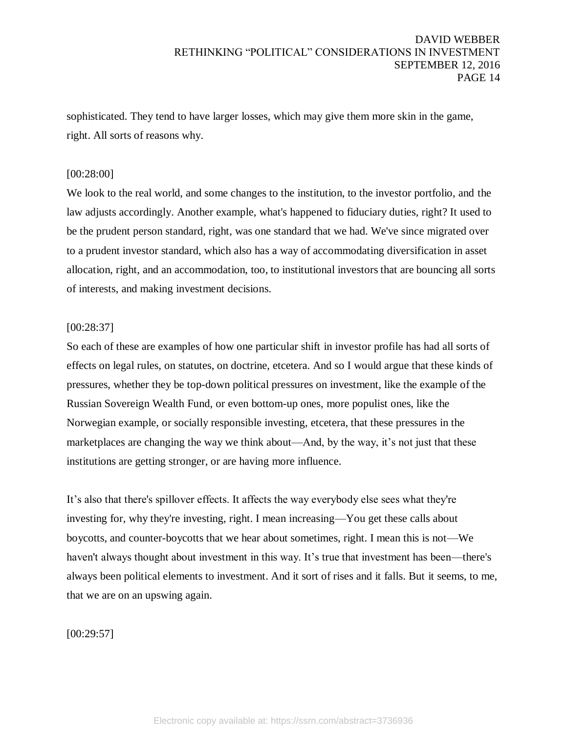sophisticated. They tend to have larger losses, which may give them more skin in the game, right. All sorts of reasons why.

## [00:28:00]

We look to the real world, and some changes to the institution, to the investor portfolio, and the law adjusts accordingly. Another example, what's happened to fiduciary duties, right? It used to be the prudent person standard, right, was one standard that we had. We've since migrated over to a prudent investor standard, which also has a way of accommodating diversification in asset allocation, right, and an accommodation, too, to institutional investors that are bouncing all sorts of interests, and making investment decisions.

## [00:28:37]

So each of these are examples of how one particular shift in investor profile has had all sorts of effects on legal rules, on statutes, on doctrine, etcetera. And so I would argue that these kinds of pressures, whether they be top-down political pressures on investment, like the example of the Russian Sovereign Wealth Fund, or even bottom-up ones, more populist ones, like the Norwegian example, or socially responsible investing, etcetera, that these pressures in the marketplaces are changing the way we think about—And, by the way, it's not just that these institutions are getting stronger, or are having more influence.

It's also that there's spillover effects. It affects the way everybody else sees what they're investing for, why they're investing, right. I mean increasing—You get these calls about boycotts, and counter-boycotts that we hear about sometimes, right. I mean this is not—We haven't always thought about investment in this way. It's true that investment has been—there's always been political elements to investment. And it sort of rises and it falls. But it seems, to me, that we are on an upswing again.

[00:29:57]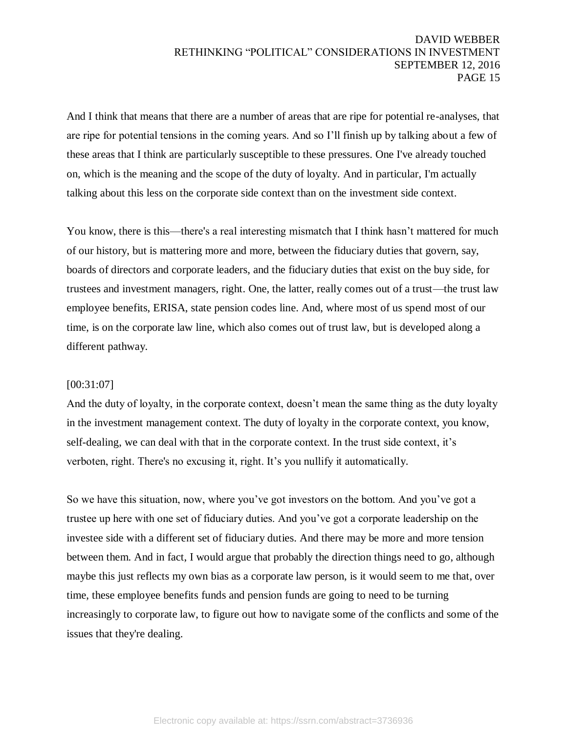And I think that means that there are a number of areas that are ripe for potential re-analyses, that are ripe for potential tensions in the coming years. And so I'll finish up by talking about a few of these areas that I think are particularly susceptible to these pressures. One I've already touched on, which is the meaning and the scope of the duty of loyalty. And in particular, I'm actually talking about this less on the corporate side context than on the investment side context.

You know, there is this—there's a real interesting mismatch that I think hasn't mattered for much of our history, but is mattering more and more, between the fiduciary duties that govern, say, boards of directors and corporate leaders, and the fiduciary duties that exist on the buy side, for trustees and investment managers, right. One, the latter, really comes out of a trust—the trust law employee benefits, ERISA, state pension codes line. And, where most of us spend most of our time, is on the corporate law line, which also comes out of trust law, but is developed along a different pathway.

# [00:31:07]

And the duty of loyalty, in the corporate context, doesn't mean the same thing as the duty loyalty in the investment management context. The duty of loyalty in the corporate context, you know, self-dealing, we can deal with that in the corporate context. In the trust side context, it's verboten, right. There's no excusing it, right. It's you nullify it automatically.

So we have this situation, now, where you've got investors on the bottom. And you've got a trustee up here with one set of fiduciary duties. And you've got a corporate leadership on the investee side with a different set of fiduciary duties. And there may be more and more tension between them. And in fact, I would argue that probably the direction things need to go, although maybe this just reflects my own bias as a corporate law person, is it would seem to me that, over time, these employee benefits funds and pension funds are going to need to be turning increasingly to corporate law, to figure out how to navigate some of the conflicts and some of the issues that they're dealing.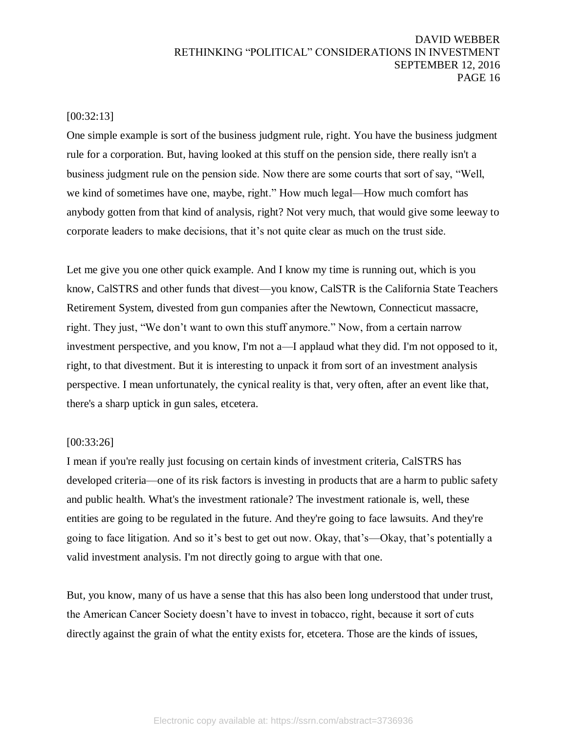## [00:32:13]

One simple example is sort of the business judgment rule, right. You have the business judgment rule for a corporation. But, having looked at this stuff on the pension side, there really isn't a business judgment rule on the pension side. Now there are some courts that sort of say, "Well, we kind of sometimes have one, maybe, right." How much legal—How much comfort has anybody gotten from that kind of analysis, right? Not very much, that would give some leeway to corporate leaders to make decisions, that it's not quite clear as much on the trust side.

Let me give you one other quick example. And I know my time is running out, which is you know, CalSTRS and other funds that divest—you know, CalSTR is the California State Teachers Retirement System, divested from gun companies after the Newtown, Connecticut massacre, right. They just, "We don't want to own this stuff anymore." Now, from a certain narrow investment perspective, and you know, I'm not a—I applaud what they did. I'm not opposed to it, right, to that divestment. But it is interesting to unpack it from sort of an investment analysis perspective. I mean unfortunately, the cynical reality is that, very often, after an event like that, there's a sharp uptick in gun sales, etcetera.

#### [00:33:26]

I mean if you're really just focusing on certain kinds of investment criteria, CalSTRS has developed criteria—one of its risk factors is investing in products that are a harm to public safety and public health. What's the investment rationale? The investment rationale is, well, these entities are going to be regulated in the future. And they're going to face lawsuits. And they're going to face litigation. And so it's best to get out now. Okay, that's—Okay, that's potentially a valid investment analysis. I'm not directly going to argue with that one.

But, you know, many of us have a sense that this has also been long understood that under trust, the American Cancer Society doesn't have to invest in tobacco, right, because it sort of cuts directly against the grain of what the entity exists for, etcetera. Those are the kinds of issues,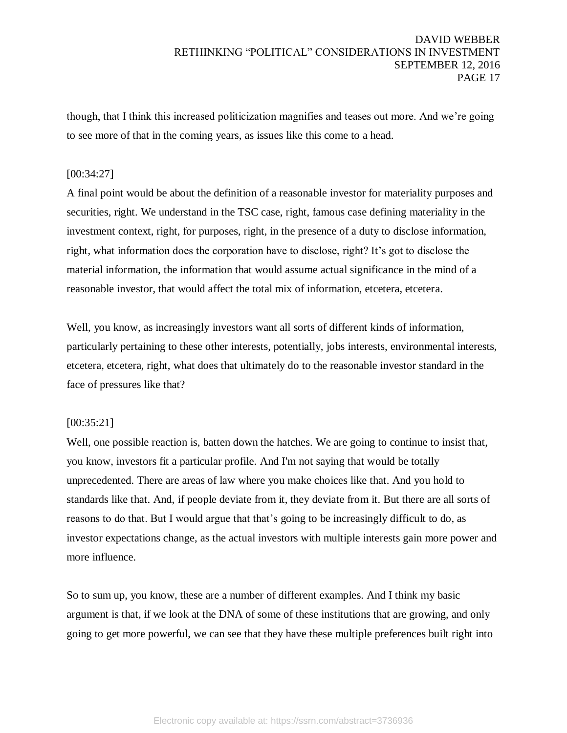though, that I think this increased politicization magnifies and teases out more. And we're going to see more of that in the coming years, as issues like this come to a head.

# [00:34:27]

A final point would be about the definition of a reasonable investor for materiality purposes and securities, right. We understand in the TSC case, right, famous case defining materiality in the investment context, right, for purposes, right, in the presence of a duty to disclose information, right, what information does the corporation have to disclose, right? It's got to disclose the material information, the information that would assume actual significance in the mind of a reasonable investor, that would affect the total mix of information, etcetera, etcetera.

Well, you know, as increasingly investors want all sorts of different kinds of information, particularly pertaining to these other interests, potentially, jobs interests, environmental interests, etcetera, etcetera, right, what does that ultimately do to the reasonable investor standard in the face of pressures like that?

# [00:35:21]

Well, one possible reaction is, batten down the hatches. We are going to continue to insist that, you know, investors fit a particular profile. And I'm not saying that would be totally unprecedented. There are areas of law where you make choices like that. And you hold to standards like that. And, if people deviate from it, they deviate from it. But there are all sorts of reasons to do that. But I would argue that that's going to be increasingly difficult to do, as investor expectations change, as the actual investors with multiple interests gain more power and more influence.

So to sum up, you know, these are a number of different examples. And I think my basic argument is that, if we look at the DNA of some of these institutions that are growing, and only going to get more powerful, we can see that they have these multiple preferences built right into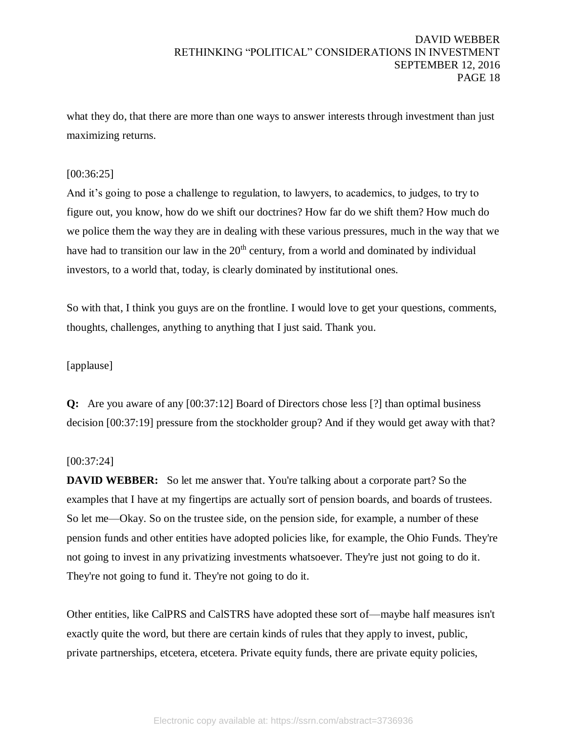what they do, that there are more than one ways to answer interests through investment than just maximizing returns.

# [00:36:25]

And it's going to pose a challenge to regulation, to lawyers, to academics, to judges, to try to figure out, you know, how do we shift our doctrines? How far do we shift them? How much do we police them the way they are in dealing with these various pressures, much in the way that we have had to transition our law in the  $20<sup>th</sup>$  century, from a world and dominated by individual investors, to a world that, today, is clearly dominated by institutional ones.

So with that, I think you guys are on the frontline. I would love to get your questions, comments, thoughts, challenges, anything to anything that I just said. Thank you.

# [applause]

**Q:** Are you aware of any [00:37:12] Board of Directors chose less [?] than optimal business decision [00:37:19] pressure from the stockholder group? And if they would get away with that?

# [00:37:24]

**DAVID WEBBER:** So let me answer that. You're talking about a corporate part? So the examples that I have at my fingertips are actually sort of pension boards, and boards of trustees. So let me—Okay. So on the trustee side, on the pension side, for example, a number of these pension funds and other entities have adopted policies like, for example, the Ohio Funds. They're not going to invest in any privatizing investments whatsoever. They're just not going to do it. They're not going to fund it. They're not going to do it.

Other entities, like CalPRS and CalSTRS have adopted these sort of—maybe half measures isn't exactly quite the word, but there are certain kinds of rules that they apply to invest, public, private partnerships, etcetera, etcetera. Private equity funds, there are private equity policies,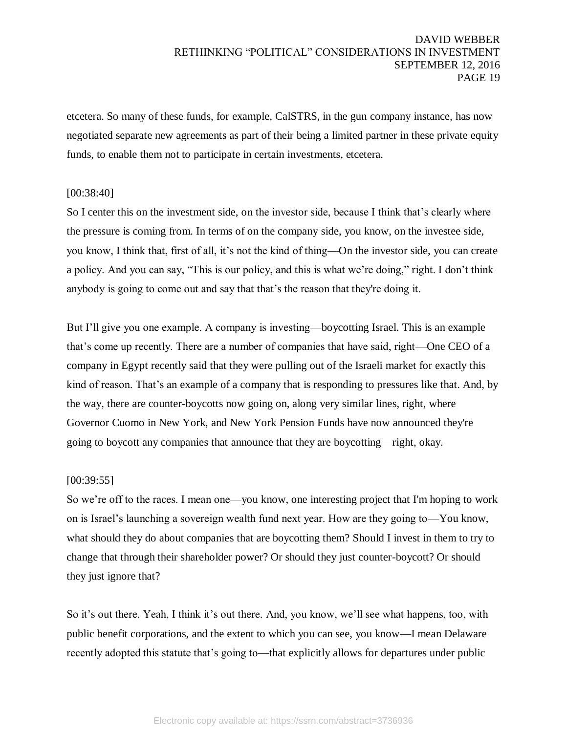etcetera. So many of these funds, for example, CalSTRS, in the gun company instance, has now negotiated separate new agreements as part of their being a limited partner in these private equity funds, to enable them not to participate in certain investments, etcetera.

## [00:38:40]

So I center this on the investment side, on the investor side, because I think that's clearly where the pressure is coming from. In terms of on the company side, you know, on the investee side, you know, I think that, first of all, it's not the kind of thing—On the investor side, you can create a policy. And you can say, "This is our policy, and this is what we're doing," right. I don't think anybody is going to come out and say that that's the reason that they're doing it.

But I'll give you one example. A company is investing—boycotting Israel. This is an example that's come up recently. There are a number of companies that have said, right—One CEO of a company in Egypt recently said that they were pulling out of the Israeli market for exactly this kind of reason. That's an example of a company that is responding to pressures like that. And, by the way, there are counter-boycotts now going on, along very similar lines, right, where Governor Cuomo in New York, and New York Pension Funds have now announced they're going to boycott any companies that announce that they are boycotting—right, okay.

#### [00:39:55]

So we're off to the races. I mean one—you know, one interesting project that I'm hoping to work on is Israel's launching a sovereign wealth fund next year. How are they going to—You know, what should they do about companies that are boycotting them? Should I invest in them to try to change that through their shareholder power? Or should they just counter-boycott? Or should they just ignore that?

So it's out there. Yeah, I think it's out there. And, you know, we'll see what happens, too, with public benefit corporations, and the extent to which you can see, you know—I mean Delaware recently adopted this statute that's going to—that explicitly allows for departures under public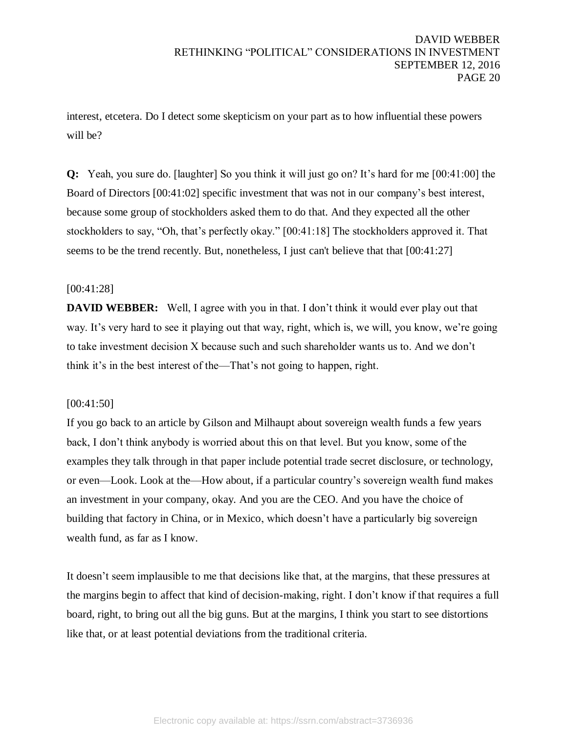interest, etcetera. Do I detect some skepticism on your part as to how influential these powers will be?

**Q:** Yeah, you sure do. [laughter] So you think it will just go on? It's hard for me [00:41:00] the Board of Directors [00:41:02] specific investment that was not in our company's best interest, because some group of stockholders asked them to do that. And they expected all the other stockholders to say, "Oh, that's perfectly okay." [00:41:18] The stockholders approved it. That seems to be the trend recently. But, nonetheless, I just can't believe that that [00:41:27]

# [00:41:28]

**DAVID WEBBER:** Well, I agree with you in that. I don't think it would ever play out that way. It's very hard to see it playing out that way, right, which is, we will, you know, we're going to take investment decision X because such and such shareholder wants us to. And we don't think it's in the best interest of the—That's not going to happen, right.

#### [00:41:50]

If you go back to an article by Gilson and Milhaupt about sovereign wealth funds a few years back, I don't think anybody is worried about this on that level. But you know, some of the examples they talk through in that paper include potential trade secret disclosure, or technology, or even—Look. Look at the—How about, if a particular country's sovereign wealth fund makes an investment in your company, okay. And you are the CEO. And you have the choice of building that factory in China, or in Mexico, which doesn't have a particularly big sovereign wealth fund, as far as I know.

It doesn't seem implausible to me that decisions like that, at the margins, that these pressures at the margins begin to affect that kind of decision-making, right. I don't know if that requires a full board, right, to bring out all the big guns. But at the margins, I think you start to see distortions like that, or at least potential deviations from the traditional criteria.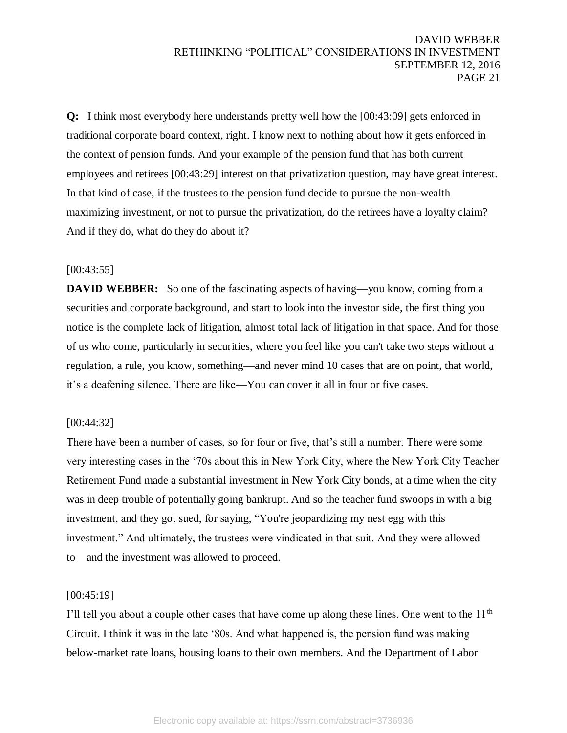**Q:** I think most everybody here understands pretty well how the [00:43:09] gets enforced in traditional corporate board context, right. I know next to nothing about how it gets enforced in the context of pension funds. And your example of the pension fund that has both current employees and retirees [00:43:29] interest on that privatization question, may have great interest. In that kind of case, if the trustees to the pension fund decide to pursue the non-wealth maximizing investment, or not to pursue the privatization, do the retirees have a loyalty claim? And if they do, what do they do about it?

# [00:43:55]

**DAVID WEBBER:** So one of the fascinating aspects of having—you know, coming from a securities and corporate background, and start to look into the investor side, the first thing you notice is the complete lack of litigation, almost total lack of litigation in that space. And for those of us who come, particularly in securities, where you feel like you can't take two steps without a regulation, a rule, you know, something—and never mind 10 cases that are on point, that world, it's a deafening silence. There are like—You can cover it all in four or five cases.

#### [00:44:32]

There have been a number of cases, so for four or five, that's still a number. There were some very interesting cases in the '70s about this in New York City, where the New York City Teacher Retirement Fund made a substantial investment in New York City bonds, at a time when the city was in deep trouble of potentially going bankrupt. And so the teacher fund swoops in with a big investment, and they got sued, for saying, "You're jeopardizing my nest egg with this investment." And ultimately, the trustees were vindicated in that suit. And they were allowed to—and the investment was allowed to proceed.

#### [00:45:19]

I'll tell you about a couple other cases that have come up along these lines. One went to the 11<sup>th</sup> Circuit. I think it was in the late '80s. And what happened is, the pension fund was making below-market rate loans, housing loans to their own members. And the Department of Labor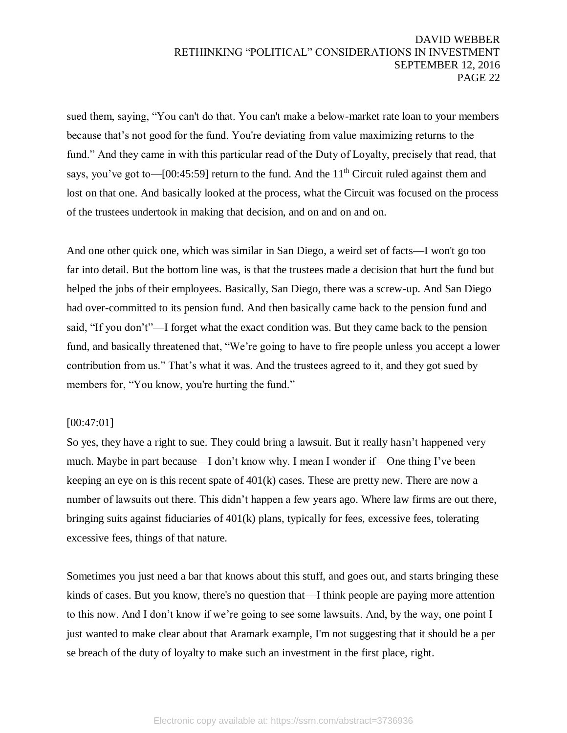sued them, saying, "You can't do that. You can't make a below-market rate loan to your members because that's not good for the fund. You're deviating from value maximizing returns to the fund." And they came in with this particular read of the Duty of Loyalty, precisely that read, that says, you've got to—[00:45:59] return to the fund. And the  $11<sup>th</sup>$  Circuit ruled against them and lost on that one. And basically looked at the process, what the Circuit was focused on the process of the trustees undertook in making that decision, and on and on and on.

And one other quick one, which was similar in San Diego, a weird set of facts—I won't go too far into detail. But the bottom line was, is that the trustees made a decision that hurt the fund but helped the jobs of their employees. Basically, San Diego, there was a screw-up. And San Diego had over-committed to its pension fund. And then basically came back to the pension fund and said, "If you don't"—I forget what the exact condition was. But they came back to the pension fund, and basically threatened that, "We're going to have to fire people unless you accept a lower contribution from us." That's what it was. And the trustees agreed to it, and they got sued by members for, "You know, you're hurting the fund."

#### [00:47:01]

So yes, they have a right to sue. They could bring a lawsuit. But it really hasn't happened very much. Maybe in part because—I don't know why. I mean I wonder if—One thing I've been keeping an eye on is this recent spate of  $401(k)$  cases. These are pretty new. There are now a number of lawsuits out there. This didn't happen a few years ago. Where law firms are out there, bringing suits against fiduciaries of 401(k) plans, typically for fees, excessive fees, tolerating excessive fees, things of that nature.

Sometimes you just need a bar that knows about this stuff, and goes out, and starts bringing these kinds of cases. But you know, there's no question that—I think people are paying more attention to this now. And I don't know if we're going to see some lawsuits. And, by the way, one point I just wanted to make clear about that Aramark example, I'm not suggesting that it should be a per se breach of the duty of loyalty to make such an investment in the first place, right.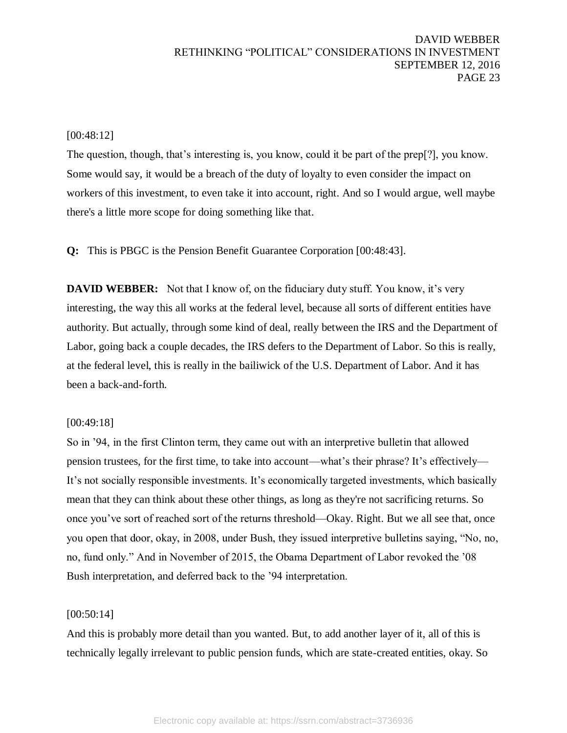#### [00:48:12]

The question, though, that's interesting is, you know, could it be part of the prep[?], you know. Some would say, it would be a breach of the duty of loyalty to even consider the impact on workers of this investment, to even take it into account, right. And so I would argue, well maybe there's a little more scope for doing something like that.

**Q:** This is PBGC is the Pension Benefit Guarantee Corporation [00:48:43].

**DAVID WEBBER:** Not that I know of, on the fiduciary duty stuff. You know, it's very interesting, the way this all works at the federal level, because all sorts of different entities have authority. But actually, through some kind of deal, really between the IRS and the Department of Labor, going back a couple decades, the IRS defers to the Department of Labor. So this is really, at the federal level, this is really in the bailiwick of the U.S. Department of Labor. And it has been a back-and-forth.

#### [00:49:18]

So in '94, in the first Clinton term, they came out with an interpretive bulletin that allowed pension trustees, for the first time, to take into account—what's their phrase? It's effectively— It's not socially responsible investments. It's economically targeted investments, which basically mean that they can think about these other things, as long as they're not sacrificing returns. So once you've sort of reached sort of the returns threshold—Okay. Right. But we all see that, once you open that door, okay, in 2008, under Bush, they issued interpretive bulletins saying, "No, no, no, fund only." And in November of 2015, the Obama Department of Labor revoked the '08 Bush interpretation, and deferred back to the '94 interpretation.

#### [00:50:14]

And this is probably more detail than you wanted. But, to add another layer of it, all of this is technically legally irrelevant to public pension funds, which are state-created entities, okay. So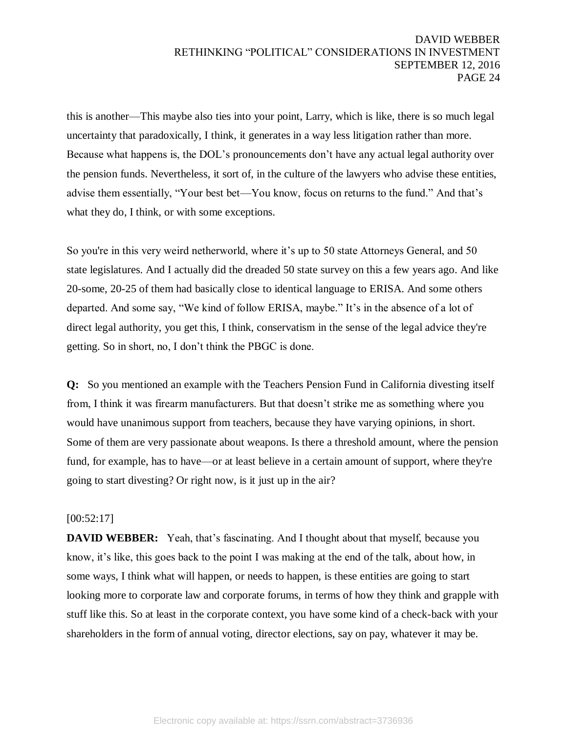this is another—This maybe also ties into your point, Larry, which is like, there is so much legal uncertainty that paradoxically, I think, it generates in a way less litigation rather than more. Because what happens is, the DOL's pronouncements don't have any actual legal authority over the pension funds. Nevertheless, it sort of, in the culture of the lawyers who advise these entities, advise them essentially, "Your best bet—You know, focus on returns to the fund." And that's what they do, I think, or with some exceptions.

So you're in this very weird netherworld, where it's up to 50 state Attorneys General, and 50 state legislatures. And I actually did the dreaded 50 state survey on this a few years ago. And like 20-some, 20-25 of them had basically close to identical language to ERISA. And some others departed. And some say, "We kind of follow ERISA, maybe." It's in the absence of a lot of direct legal authority, you get this, I think, conservatism in the sense of the legal advice they're getting. So in short, no, I don't think the PBGC is done.

**Q:** So you mentioned an example with the Teachers Pension Fund in California divesting itself from, I think it was firearm manufacturers. But that doesn't strike me as something where you would have unanimous support from teachers, because they have varying opinions, in short. Some of them are very passionate about weapons. Is there a threshold amount, where the pension fund, for example, has to have—or at least believe in a certain amount of support, where they're going to start divesting? Or right now, is it just up in the air?

#### [00:52:17]

**DAVID WEBBER:** Yeah, that's fascinating. And I thought about that myself, because you know, it's like, this goes back to the point I was making at the end of the talk, about how, in some ways, I think what will happen, or needs to happen, is these entities are going to start looking more to corporate law and corporate forums, in terms of how they think and grapple with stuff like this. So at least in the corporate context, you have some kind of a check-back with your shareholders in the form of annual voting, director elections, say on pay, whatever it may be.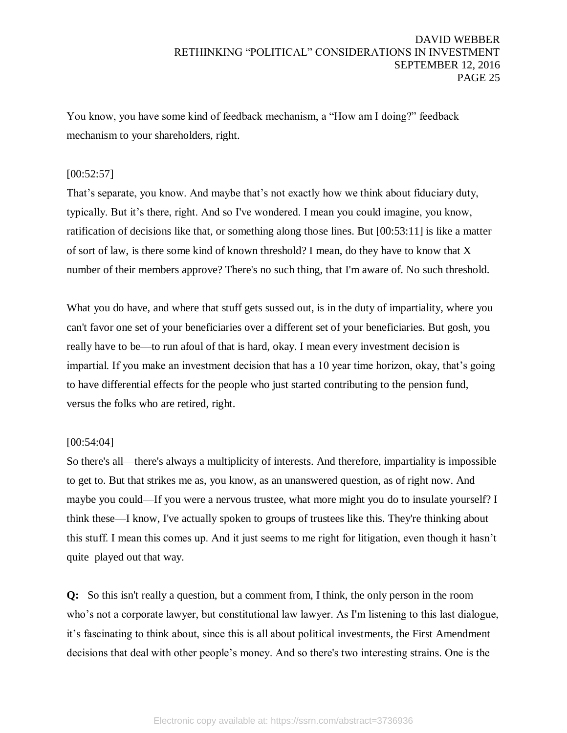You know, you have some kind of feedback mechanism, a "How am I doing?" feedback mechanism to your shareholders, right.

# $[00:52:57]$

That's separate, you know. And maybe that's not exactly how we think about fiduciary duty, typically. But it's there, right. And so I've wondered. I mean you could imagine, you know, ratification of decisions like that, or something along those lines. But [00:53:11] is like a matter of sort of law, is there some kind of known threshold? I mean, do they have to know that X number of their members approve? There's no such thing, that I'm aware of. No such threshold.

What you do have, and where that stuff gets sussed out, is in the duty of impartiality, where you can't favor one set of your beneficiaries over a different set of your beneficiaries. But gosh, you really have to be—to run afoul of that is hard, okay. I mean every investment decision is impartial. If you make an investment decision that has a 10 year time horizon, okay, that's going to have differential effects for the people who just started contributing to the pension fund, versus the folks who are retired, right.

# [00:54:04]

So there's all—there's always a multiplicity of interests. And therefore, impartiality is impossible to get to. But that strikes me as, you know, as an unanswered question, as of right now. And maybe you could—If you were a nervous trustee, what more might you do to insulate yourself? I think these—I know, I've actually spoken to groups of trustees like this. They're thinking about this stuff. I mean this comes up. And it just seems to me right for litigation, even though it hasn't quite played out that way.

**Q:** So this isn't really a question, but a comment from, I think, the only person in the room who's not a corporate lawyer, but constitutional law lawyer. As I'm listening to this last dialogue, it's fascinating to think about, since this is all about political investments, the First Amendment decisions that deal with other people's money. And so there's two interesting strains. One is the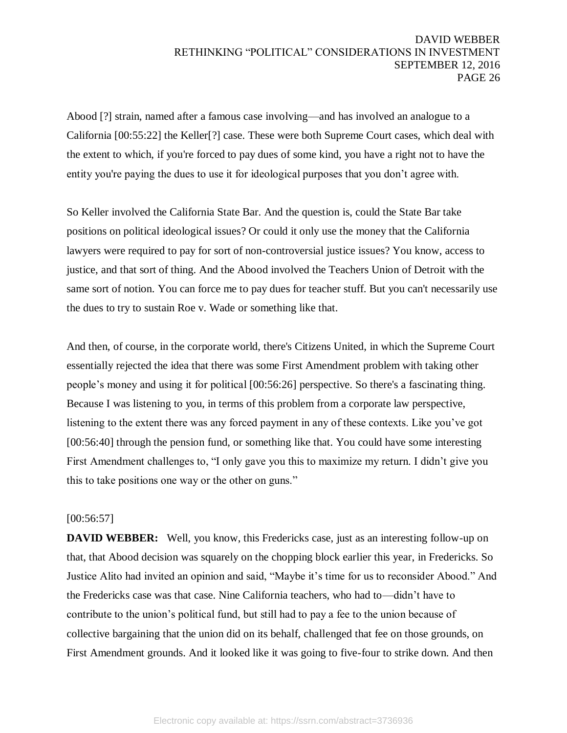Abood [?] strain, named after a famous case involving—and has involved an analogue to a California [00:55:22] the Keller[?] case. These were both Supreme Court cases, which deal with the extent to which, if you're forced to pay dues of some kind, you have a right not to have the entity you're paying the dues to use it for ideological purposes that you don't agree with.

So Keller involved the California State Bar. And the question is, could the State Bar take positions on political ideological issues? Or could it only use the money that the California lawyers were required to pay for sort of non-controversial justice issues? You know, access to justice, and that sort of thing. And the Abood involved the Teachers Union of Detroit with the same sort of notion. You can force me to pay dues for teacher stuff. But you can't necessarily use the dues to try to sustain Roe v. Wade or something like that.

And then, of course, in the corporate world, there's Citizens United, in which the Supreme Court essentially rejected the idea that there was some First Amendment problem with taking other people's money and using it for political [00:56:26] perspective. So there's a fascinating thing. Because I was listening to you, in terms of this problem from a corporate law perspective, listening to the extent there was any forced payment in any of these contexts. Like you've got [00:56:40] through the pension fund, or something like that. You could have some interesting First Amendment challenges to, "I only gave you this to maximize my return. I didn't give you this to take positions one way or the other on guns."

#### [00:56:57]

**DAVID WEBBER:** Well, you know, this Fredericks case, just as an interesting follow-up on that, that Abood decision was squarely on the chopping block earlier this year, in Fredericks. So Justice Alito had invited an opinion and said, "Maybe it's time for us to reconsider Abood." And the Fredericks case was that case. Nine California teachers, who had to—didn't have to contribute to the union's political fund, but still had to pay a fee to the union because of collective bargaining that the union did on its behalf, challenged that fee on those grounds, on First Amendment grounds. And it looked like it was going to five-four to strike down. And then